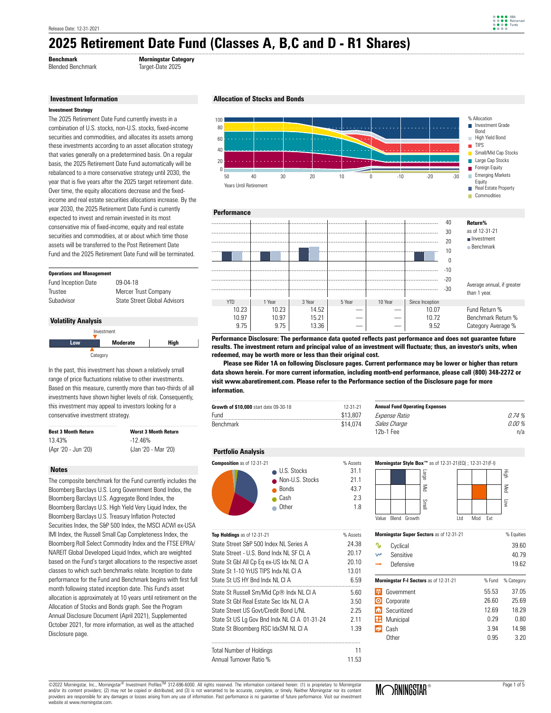### **2025 Retirement Date Fund (Classes A, B,C and D - R1 Shares)**  ..........................................................................................................................................................................................................................................................................................................................................

**Benchmark Morningstar Category**

#### **Investment Information**

The 2025 Retirement Date Fund currently invests in a combination of U.S. stocks, non-U.S. stocks, fixed-income securities and commodities, and allocates its assets among these investments according to an asset allocation strategy that varies generally on a predetermined basis. On a regular basis, the 2025 Retirement Date Fund automatically will be rebalanced to a more conservative strategy until 2030, the year that is five years after the 2025 target retirement date. Over time, the equity allocations decrease and the fixedincome and real estate securities allocations increase. By the year 2030, the 2025 Retirement Date Fund is currently expected to invest and remain invested in its most conservative mix of fixed-income, equity and real estate securities and commodities, at or about which time those assets will be transferred to the Post Retirement Date Fund and the 2025 Retirement Date Fund will be terminated.

#### **Operations and Management**

| <b>Fund Inception Date</b> | 09-04-18                     |
|----------------------------|------------------------------|
| Trustee                    | Mercer Trust Company         |
| Subadvisor                 | State Street Global Advisors |

#### **Volatility Analysis**



In the past, this investment has shown a relatively small range of price fluctuations relative to other investments. Based on this measure, currently more than two-thirds of all investments have shown higher levels of risk. Consequently, this investment may appeal to investors looking for a conservative investment strategy.

| <b>Best 3 Month Return</b> | <b>Worst 3 Month Return</b> |  |  |
|----------------------------|-----------------------------|--|--|
| 13.43%                     | $-12.46%$                   |  |  |
| (Apr '20 - Jun '20)        | (Jan '20 - Mar '20)         |  |  |

#### **Notes**

The composite benchmark for the Fund currently includes the Bloomberg Barclays U.S. Long Government Bond Index, the Bloomberg Barclays U.S. Aggregate Bond Index, the Bloomberg Barclays U.S. High Yield Very Liquid Index, the Bloomberg Barclays U.S. Treasury Inflation Protected Securities Index, the S&P 500 Index, the MSCI ACWI ex-USA IMI Index, the Russell Small Cap Completeness Index, the Bloomberg Roll Select Commodity Index and the FTSE EPRA/ NAREIT Global Developed Liquid Index, which are weighted based on the Fund's target allocations to the respective asset classes to which such benchmarks relate. Inception to date performance for the Fund and Benchmark begins with first full month following stated inception date. This Fund's asset allocation is approximately at 10 years until retirement on the Allocation of Stocks and Bonds graph. See the Program Annual Disclosure Document (April 2021), Supplemented October 2021, for more information, as well as the attached Disclosure page.







**results. The investment return and principal value of an investment will fluctuate; thus, an investor's units, when redeemed, may be worth more or less than their original cost.**

data shown herein. For more current information, including month-end performance, please call (800) 348-2272 or  **Please see Rider 1A on following Disclosure pages. Current performance may be lower or higher than return visit www.abaretirement.com. Please refer to the Performance section of the Disclosure page for more information.**

| Growth of \$10,000 start date 09-30-18 | 12-31-21 | <b>Annual Fund Operating Expenses</b> |
|----------------------------------------|----------|---------------------------------------|
| Fund                                   | \$13,807 | <i>Expense Ratio</i>                  |
| <b>Benchmark</b>                       | \$14.074 | Sales Charge<br>$4.01$ , $4.1$        |

#### **Portfolio Analysis**



| Top Holdings as of 12-31-21                  | % Assets |
|----------------------------------------------|----------|
| State Street S&P 500 Index NI Series A       | 24.38    |
| State Street - U.S. Bond Indx NI SF CLA      | 20.17    |
| State St Gbl All Cp Eq ex-US Idx NL Cl A     | 20.10    |
| State St 1-10 YrUS TIPS Indx NLCLA           | 13.01    |
| State St US HY Bnd Indx NI CLA               | 6.59     |
| State St Russell Sm/Mid Cp® Indx NL Cl A     | 5.60     |
| State St Gbl Real Estate Sec Idx NLCLA       | 3.50     |
| State Street US Govt/Credit Bond L/NL        | 2.25     |
| State St US Lg Gov Bnd Indx NL CI A 01-31-24 | 2.11     |
| State St Bloomberg RSC IdxSM NL CI A         | 1.39     |
| <b>Total Number of Holdings</b>              | 11       |
| Annual Turnover Ratio %                      | 11.53    |

| Expense Ratio | 0.74%  |
|---------------|--------|
| Sales Charge  | 0.00 % |
| 12b-1 Fee     | n/a    |
|               |        |
|               |        |



| <b>Morningstar Super Sectors</b> as of 12-31-21 |                                        | % Equities |            |
|-------------------------------------------------|----------------------------------------|------------|------------|
| ∿                                               | Cyclical                               |            | 39.60      |
| W                                               | Sensitive                              |            | 40.79      |
|                                                 | Defensive                              |            | 19.62      |
|                                                 | Morningstar F-I Sectors as of 12-31-21 | % Fund     | % Category |
|                                                 | Government                             | 55.53      | 37.05      |
|                                                 | Corporate                              | 26.60      | 25.69      |
| m                                               | Securitized                            | 12.69      | 18.29      |
| н                                               | Municipal                              | 0.29       | 0.80       |
|                                                 | Cash                                   | 3.94       | 14.98      |
|                                                 | Other                                  | 0.95       | 3.20       |
|                                                 |                                        |            |            |

©2022 Morningstar, Inc., Morningstar® Investment ProfilesTM 312-696-6000. All rights reserved. The information contained herein: (1) is proprietary to Morningstar and/or its content providers; (2) may not be copied or distributed; and (3) is not warranted to be accurate, complete, or timely. Neither Morningstar nor its content<br>providers are responsible for any damages or losses aris website at www.morningstar.com.

Blended Benchmark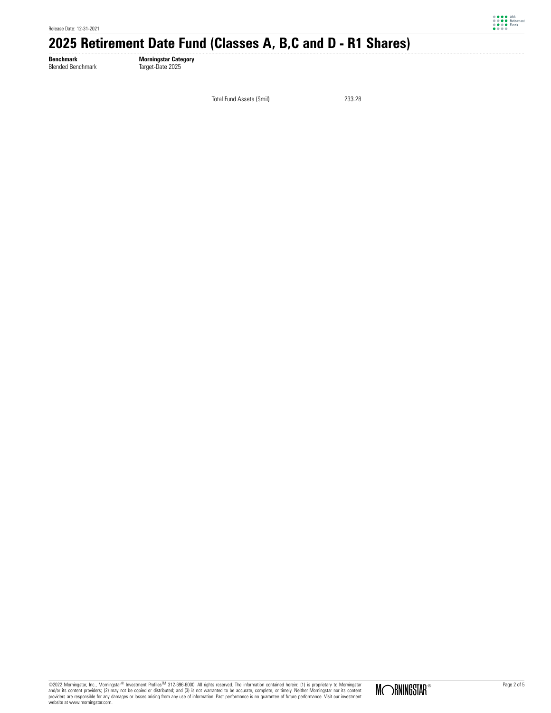

# 2025 Retirement Date Fund (Classes A, B,C and D - R1 Shares)

**Benchmark Morningstar Category** Blended Benchmark Target-Date 2025

Total Fund Assets (\$mil) 233.28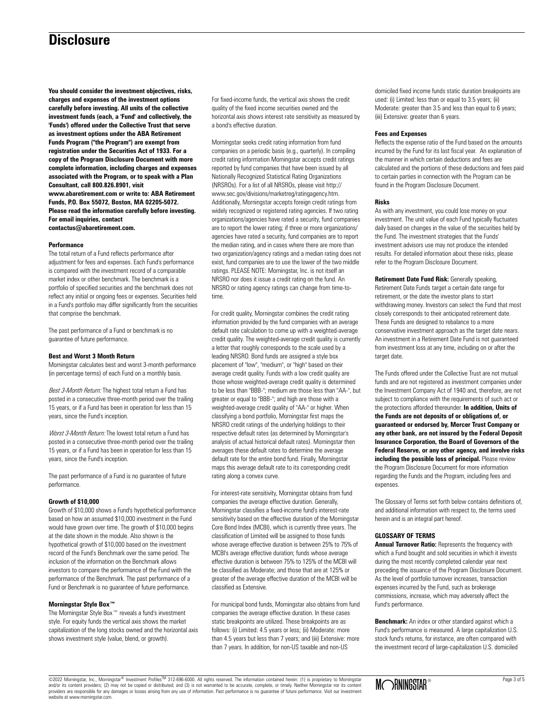### **Disclosure**

**You should consider the investment objectives, risks, charges and expenses of the investment options carefully before investing. All units of the collective investment funds (each, a 'Fund' and collectively, the 'Funds') offered under the Collective Trust that serve as investment options under the ABA Retirement Funds Program ("the Program") are exempt from registration under the Securities Act of 1933. For a copy of the Program Disclosure Document with more complete information, including charges and expenses associated with the Program, or to speak with a Plan Consultant, call 800.826.8901, visit www.abaretirement.com or write to: ABA Retirement Funds, P.O. Box 55072, Boston, MA 02205-5072. Please read the information carefully before investing. For email inquiries, contact contactus@abaretirement.com.**

#### **Performance**

The total return of a Fund reflects performance after adjustment for fees and expenses. Each Fund's performance is compared with the investment record of a comparable market index or other benchmark. The benchmark is a portfolio of specified securities and the benchmark does not reflect any initial or ongoing fees or expenses. Securities held in a Fund's portfolio may differ significantly from the securities that comprise the benchmark.

The past performance of a Fund or benchmark is no guarantee of future performance.

#### **Best and Worst 3 Month Return**

Morningstar calculates best and worst 3-month performance (in percentage terms) of each Fund on a monthly basis.

Best 3-Month Return: The highest total return a Fund has posted in a consecutive three-month period over the trailing 15 years, or if a Fund has been in operation for less than 15 years, since the Fund's inception.

Worst 3-Month Return: The lowest total return a Fund has posted in a consecutive three-month period over the trailing 15 years, or if a Fund has been in operation for less than 15 years, since the Fund's inception.

The past performance of a Fund is no guarantee of future performance.

#### **Growth of \$10,000**

Growth of \$10,000 shows a Fund's hypothetical performance based on how an assumed \$10,000 investment in the Fund would have grown over time. The growth of \$10,000 begins at the date shown in the module. Also shown is the hypothetical growth of \$10,000 based on the investment record of the Fund's Benchmark over the same period. The inclusion of the information on the Benchmark allows investors to compare the performance of the Fund with the performance of the Benchmark. The past performance of a Fund or Benchmark is no guarantee of future performance.

#### **Morningstar Style Box™**

The Morningstar Style Box™ reveals a fund's investment style. For equity funds the vertical axis shows the market capitalization of the long stocks owned and the horizontal axis shows investment style (value, blend, or growth).

For fixed-income funds, the vertical axis shows the credit quality of the fixed income securities owned and the horizontal axis shows interest rate sensitivity as measured by a bond's effective duration.

Morningstar seeks credit rating information from fund companies on a periodic basis (e.g., quarterly). In compiling credit rating information Morningstar accepts credit ratings reported by fund companies that have been issued by all Nationally Recognized Statistical Rating Organizations (NRSROs). For a list of all NRSROs, please visit http:// www.sec.gov/divisions/marketreg/ratingagency.htm. Additionally, Morningstar accepts foreign credit ratings from widely recognized or registered rating agencies. If two rating organizations/agencies have rated a security, fund companies are to report the lower rating; if three or more organizations/ agencies have rated a security, fund companies are to report the median rating, and in cases where there are more than two organization/agency ratings and a median rating does not exist, fund companies are to use the lower of the two middle ratings. PLEASE NOTE: Morningstar, Inc. is not itself an NRSRO nor does it issue a credit rating on the fund. An NRSRO or rating agency ratings can change from time-totime.

For credit quality, Morningstar combines the credit rating information provided by the fund companies with an average default rate calculation to come up with a weighted-average credit quality. The weighted-average credit quality is currently a letter that roughly corresponds to the scale used by a leading NRSRO. Bond funds are assigned a style box placement of "low", "medium", or "high" based on their average credit quality. Funds with a low credit quality are those whose weighted-average credit quality is determined to be less than "BBB-"; medium are those less than "AA-", but greater or equal to "BBB-"; and high are those with a weighted-average credit quality of "AA-" or higher. When classifying a bond portfolio, Morningstar first maps the NRSRO credit ratings of the underlying holdings to their respective default rates (as determined by Morningstar's analysis of actual historical default rates). Morningstar then averages these default rates to determine the average default rate for the entire bond fund. Finally, Morningstar maps this average default rate to its corresponding credit rating along a convex curve.

For interest-rate sensitivity, Morningstar obtains from fund companies the average effective duration. Generally, Morningstar classifies a fixed-income fund's interest-rate sensitivity based on the effective duration of the Morningstar Core Bond Index (MCBI), which is currently three years. The classification of Limited will be assigned to those funds whose average effective duration is between 25% to 75% of MCBI's average effective duration; funds whose average effective duration is between 75% to 125% of the MCBI will be classified as Moderate; and those that are at 125% or greater of the average effective duration of the MCBI will be classified as Extensive.

For municipal bond funds, Morningstar also obtains from fund companies the average effective duration. In these cases static breakpoints are utilized. These breakpoints are as follows: (i) Limited: 4.5 years or less; (ii) Moderate: more than 4.5 years but less than 7 years; and (iii) Extensive: more than 7 years. In addition, for non-US taxable and non-US

domiciled fixed income funds static duration breakpoints are used: (i) Limited: less than or equal to 3.5 years; (ii) Moderate: greater than 3.5 and less than equal to 6 years; (iii) Extensive: greater than 6 years.

#### **Fees and Expenses**

Reflects the expense ratio of the Fund based on the amounts incurred by the Fund for its last fiscal year. An explanation of the manner in which certain deductions and fees are calculated and the portions of these deductions and fees paid to certain parties in connection with the Program can be found in the Program Disclosure Document.

#### **Risks**

As with any investment, you could lose money on your investment. The unit value of each Fund typically fluctuates daily based on changes in the value of the securities held by the Fund. The investment strategies that the Funds' investment advisors use may not produce the intended results. For detailed information about these risks, please refer to the Program Disclosure Document.

**Retirement Date Fund Risk:** Generally speaking, Retirement Date Funds target a certain date range for retirement, or the date the investor plans to start withdrawing money. Investors can select the Fund that most closely corresponds to their anticipated retirement date. These Funds are designed to rebalance to a more conservative investment approach as the target date nears. An investment in a Retirement Date Fund is not guaranteed from investment loss at any time, including on or after the target date.

The Funds offered under the Collective Trust are not mutual funds and are not registered as investment companies under the Investment Company Act of 1940 and, therefore, are not subject to compliance with the requirements of such act or the protections afforded thereunder. **In addition, Units of the Funds are not deposits of or obligations of, or guaranteed or endorsed by, Mercer Trust Company or any other bank, are not insured by the Federal Deposit Insurance Corporation, the Board of Governors of the Federal Reserve, or any other agency, and involve risks including the possible loss of principal.** Please review the Program Disclosure Document for more information regarding the Funds and the Program, including fees and expenses.

The Glossary of Terms set forth below contains definitions of, and additional information with respect to, the terms used herein and is an integral part hereof.

#### **GLOSSARY OF TERMS**

**Annual Turnover Ratio:** Represents the frequency with which a Fund bought and sold securities in which it invests during the most recently completed calendar year next preceding the issuance of the Program Disclosure Document. As the level of portfolio turnover increases, transaction expenses incurred by the Fund, such as brokerage commissions, increase, which may adversely affect the Fund's performance.

**Benchmark:** An index or other standard against which a Fund's performance is measured. A large capitalization U.S. stock fund's returns, for instance, are often compared with the investment record of large-capitalization U.S. domiciled

©2022 Morningstar, Inc., Morningstar® Investment ProfilesTM 312-696-6000. All rights reserved. The information contained herein: (1) is proprietary to Morningstar and/or its content providers; (2) may not be copied or distributed; and (3) is not warranted to be accurate, complete, or timely. Neither Morningstar nor its content providers are responsible for any damages or losses arising from any use of information. Past performance is no guarantee of future performance. Visit our investment website at www.morningstar.com.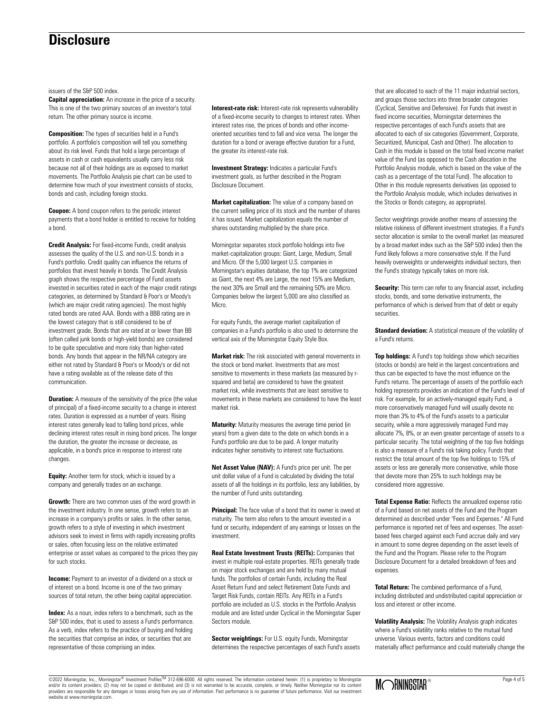### **Disclosure**

issuers of the S&P 500 index.

**Capital appreciation:** An increase in the price of a security. This is one of the two primary sources of an investor's total return. The other primary source is income.

**Composition:** The types of securities held in a Fund's portfolio. A portfolio's composition will tell you something about its risk level. Funds that hold a large percentage of assets in cash or cash equivalents usually carry less risk because not all of their holdings are as exposed to market movements. The Portfolio Analysis pie chart can be used to determine how much of your investment consists of stocks, bonds and cash, including foreign stocks.

**Coupon:** A bond coupon refers to the periodic interest payments that a bond holder is entitled to receive for holding a bond.

**Credit Analysis:** For fixed-income Funds, credit analysis assesses the quality of the U.S. and non-U.S. bonds in a Fund's portfolio. Credit quality can influence the returns of portfolios that invest heavily in bonds. The Credit Analysis graph shows the respective percentage of Fund assets invested in securities rated in each of the major credit ratings categories, as determined by Standard & Poor's or Moody's (which are major credit rating agencies). The most highly rated bonds are rated AAA. Bonds with a BBB rating are in the lowest category that is still considered to be of investment grade. Bonds that are rated at or lower than BB (often called junk bonds or high-yield bonds) are considered to be quite speculative and more risky than higher-rated bonds. Any bonds that appear in the NR/NA category are either not rated by Standard & Poor's or Moody's or did not have a rating available as of the release date of this communication.

**Duration:** A measure of the sensitivity of the price (the value of principal) of a fixed-income security to a change in interest rates. Duration is expressed as a number of years. Rising interest rates generally lead to falling bond prices, while declining interest rates result in rising bond prices. The longer the duration, the greater the increase or decrease, as applicable, in a bond's price in response to interest rate changes.

**Equity:** Another term for stock, which is issued by a company and generally trades on an exchange.

**Growth:** There are two common uses of the word growth in the investment industry. In one sense, growth refers to an increase in a company's profits or sales. In the other sense, growth refers to a style of investing in which investment advisors seek to invest in firms with rapidly increasing profits or sales, often focusing less on the relative estimated enterprise or asset values as compared to the prices they pay for such stocks.

**Income:** Payment to an investor of a dividend on a stock or of interest on a bond. Income is one of the two primary sources of total return, the other being capital appreciation.

**Index:** As a noun, index refers to a benchmark, such as the S&P 500 index, that is used to assess a Fund's performance. As a verb, index refers to the practice of buying and holding the securities that comprise an index, or securities that are representative of those comprising an index.

**Interest-rate risk:** Interest-rate risk represents vulnerability of a fixed-income security to changes to interest rates. When interest rates rise, the prices of bonds and other incomeoriented securities tend to fall and vice versa. The longer the duration for a bond or average effective duration for a Fund, the greater its interest-rate risk.

**Investment Strategy:** Indicates a particular Fund's investment goals, as further described in the Program Disclosure Document.

**Market capitalization:** The value of a company based on the current selling price of its stock and the number of shares it has issued. Market capitalization equals the number of shares outstanding multiplied by the share price.

Morningstar separates stock portfolio holdings into five market-capitalization groups: Giant, Large, Medium, Small and Micro. Of the 5,000 largest U.S. companies in Morningstar's equities database, the top 1% are categorized as Giant, the next 4% are Large, the next 15% are Medium, the next 30% are Small and the remaining 50% are Micro. Companies below the largest 5,000 are also classified as **Micro**.

For equity Funds, the average market capitalization of companies in a Fund's portfolio is also used to determine the vertical axis of the Morningstar Equity Style Box.

**Market risk:** The risk associated with general movements in the stock or bond market. Investments that are most sensitive to movements in these markets (as measured by rsquared and beta) are considered to have the greatest market risk, while investments that are least sensitive to movements in these markets are considered to have the least market risk.

**Maturity:** Maturity measures the average time period (in years) from a given date to the date on which bonds in a Fund's portfolio are due to be paid. A longer maturity indicates higher sensitivity to interest rate fluctuations.

**Net Asset Value (NAV):** A Fund's price per unit. The per unit dollar value of a Fund is calculated by dividing the total assets of all the holdings in its portfolio, less any liabilities, by the number of Fund units outstanding.

**Principal:** The face value of a bond that its owner is owed at maturity. The term also refers to the amount invested in a fund or security, independent of any earnings or losses on the investment.

**Real Estate Investment Trusts (REITs):** Companies that invest in multiple real-estate properties. REITs generally trade on major stock exchanges and are held by many mutual funds. The portfolios of certain Funds, including the Real Asset Return Fund and select Retirement Date Funds and Target Risk Funds, contain REITs. Any REITs in a Fund's portfolio are included as U.S. stocks in the Portfolio Analysis module and are listed under Cyclical in the Morningstar Super Sectors module.

**Sector weightings:** For U.S. equity Funds, Morningstar determines the respective percentages of each Fund's assets that are allocated to each of the 11 major industrial sectors, and groups those sectors into three broader categories (Cyclical, Sensitive and Defensive). For Funds that invest in fixed income securities, Morningstar determines the respective percentages of each Fund's assets that are allocated to each of six categories (Government, Corporate, Securitized, Municipal, Cash and Other). The allocation to Cash in this module is based on the total fixed income market value of the Fund (as opposed to the Cash allocation in the Portfolio Analysis module, which is based on the value of the cash as a percentage of the total Fund). The allocation to Other in this module represents derivatives (as opposed to the Portfolio Analysis module, which includes derivatives in the Stocks or Bonds category, as appropriate).

Sector weightings provide another means of assessing the relative riskiness of different investment strategies. If a Fund's sector allocation is similar to the overall market (as measured by a broad market index such as the S&P 500 index) then the Fund likely follows a more conservative style. If the Fund heavily overweights or underweights individual sectors, then the Fund's strategy typically takes on more risk.

**Security:** This term can refer to any financial asset, including stocks, bonds, and some derivative instruments, the performance of which is derived from that of debt or equity securities.

**Standard deviation:** A statistical measure of the volatility of a Fund's returns.

**Top holdings:** A Fund's top holdings show which securities (stocks or bonds) are held in the largest concentrations and thus can be expected to have the most influence on the Fund's returns. The percentage of assets of the portfolio each holding represents provides an indication of the Fund's level of risk. For example, for an actively-managed equity Fund, a more conservatively managed Fund will usually devote no more than 3% to 4% of the Fund's assets to a particular security, while a more aggressively managed Fund may allocate 7%, 8%, or an even greater percentage of assets to a particular security. The total weighting of the top five holdings is also a measure of a Fund's risk taking policy. Funds that restrict the total amount of the top five holdings to 15% of assets or less are generally more conservative, while those that devote more than 25% to such holdings may be considered more aggressive.

**Total Expense Ratio:** Reflects the annualized expense ratio of a Fund based on net assets of the Fund and the Program determined as described under "Fees and Expenses." All Fund performance is reported net of fees and expenses. The assetbased fees charged against each Fund accrue daily and vary in amount to some degree depending on the asset levels of the Fund and the Program. Please refer to the Program Disclosure Document for a detailed breakdown of fees and expenses.

**Total Return:** The combined performance of a Fund, including distributed and undistributed capital appreciation or loss and interest or other income.

**Volatility Analysis:** The Volatility Analysis graph indicates where a Fund's volatility ranks relative to the mutual fund universe. Various events, factors and conditions could materially affect performance and could materially change the

©2022 Morningstar, Inc., Morningstar® Investment ProfilesTM 312-696-6000. All rights reserved. The information contained herein: (1) is proprietary to Morningstar and/or its content providers; (2) may not be copied or distributed; and (3) is not warranted to be accurate, complete, or timely. Neither Morningstar nor its content providers are responsible for any damages or losses arising from any use of information. Past performance is no guarantee of future performance. Visit our investment website at www.morningstar.com.